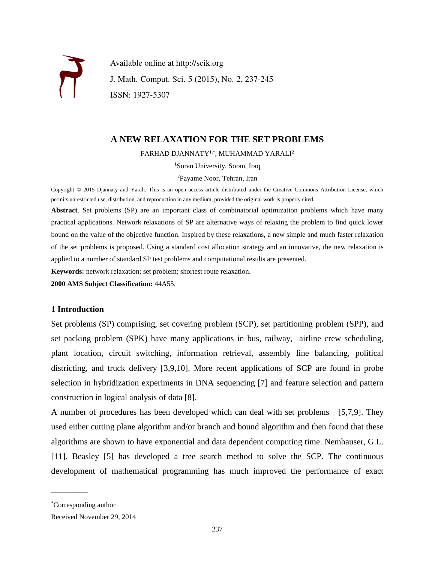

Available online at http://scik.org J. Math. Comput. Sci. 5 (2015), No. 2, 237-245 ISSN: 1927-5307

# **A NEW RELAXATION FOR THE SET PROBLEMS**

FARHAD DJANNATY<sup>1,\*</sup>, MUHAMMAD YARALI<sup>2</sup>

**<sup>1</sup>**Soran University, Soran, Iraq

<sup>2</sup>Payame Noor, Tehran, Iran

Copyright © 2015 Djannaty and Yarali. This is an open access article distributed under the Creative Commons Attribution License, which permits unrestricted use, distribution, and reproduction in any medium, provided the original work is properly cited.

**Abstract**. Set problems (SP) are an important class of combinatorial optimization problems which have many practical applications. Network relaxations of SP are alternative ways of relaxing the problem to find quick lower bound on the value of the objective function. Inspired by these relaxations, a new simple and much faster relaxation of the set problems is proposed. Using a standard cost allocation strategy and an innovative, the new relaxation is applied to a number of standard SP test problems and computational results are presented.

**Keywords:** network relaxation; set problem; shortest route relaxation.

**2000 AMS Subject Classification:** 44A55.

# **1 Introduction**

Set problems (SP) comprising, set covering problem (SCP), set partitioning problem (SPP), and set packing problem (SPK) have many applications in bus, railway, airline crew scheduling, plant location, circuit switching, information retrieval, assembly line balancing, political districting, and truck delivery [3,9,10]. More recent applications of SCP are found in probe selection in hybridization experiments in DNA sequencing [7] and feature selection and pattern construction in logical analysis of data [8].

A number of procedures has been developed which can deal with set problems [5,7,9]. They used either cutting plane algorithm and/or branch and bound algorithm and then found that these algorithms are shown to have exponential and data dependent computing time. Nemhauser, G.L. [11]. Beasley [5] has developed a tree search method to solve the SCP. The continuous development of mathematical programming has much improved the performance of exact

 $\overline{\phantom{a}}$  , where  $\overline{\phantom{a}}$ 

<sup>\*</sup>Corresponding author

Received November 29, 2014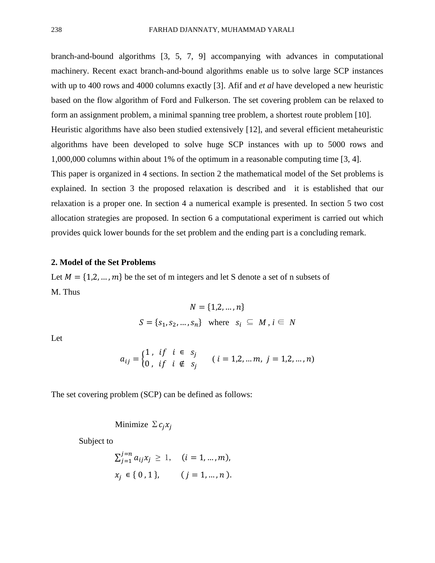branch-and-bound algorithms [3, 5, 7, 9] accompanying with advances in computational machinery. Recent exact branch-and-bound algorithms enable us to solve large SCP instances with up to 400 rows and 4000 columns exactly [3]. Afif and *et al* have developed a new heuristic based on the flow algorithm of Ford and Fulkerson. The set covering problem can be relaxed to form an assignment problem, a minimal spanning tree problem, a shortest route problem [10]. Heuristic algorithms have also been studied extensively [12], and several efficient metaheuristic algorithms have been developed to solve huge SCP instances with up to 5000 rows and 1,000,000 columns within about 1% of the optimum in a reasonable computing time [3, 4]. This paper is organized in 4 sections. In section 2 the mathematical model of the Set problems is explained. In section 3 the proposed relaxation is described and it is established that our

relaxation is a proper one. In section 4 a numerical example is presented. In section 5 two cost allocation strategies are proposed. In section 6 a computational experiment is carried out which provides quick lower bounds for the set problem and the ending part is a concluding remark.

# **2. Model of the Set Problems**

Let  $M = \{1, 2, ..., m\}$  be the set of m integers and let S denote a set of n subsets of M. Thus

$$
N = \{1, 2, ..., n\}
$$
  

$$
S = \{s_1, s_2, ..., s_n\} \text{ where } s_i \subseteq M, i \in N
$$

Let

$$
a_{ij} = \begin{cases} 1, & if \quad i \in s_j \\ 0, & if \quad i \notin s_j \end{cases} \quad (i = 1, 2, \dots m, \ j = 1, 2, \dots, n)
$$

The set covering problem (SCP) can be defined as follows:

Minimize  $\sum c_i x_i$ 

Subject to

$$
\sum_{j=1}^{j=n} a_{ij} x_j \ge 1, \quad (i = 1, ..., m),
$$
  

$$
x_j \in \{0, 1\}, \quad (j = 1, ..., n).
$$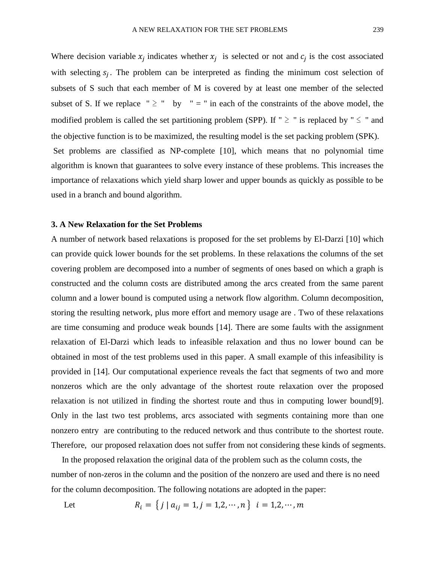Where decision variable  $x_j$  indicates whether  $x_j$  is selected or not and  $c_j$  is the cost associated with selecting  $s_j$ . The problem can be interpreted as finding the minimum cost selection of subsets of S such that each member of M is covered by at least one member of the selected subset of S. If we replace "  $\geq$  " by " = " in each of the constraints of the above model, the modified problem is called the set partitioning problem (SPP). If "  $\geq$  " is replaced by "  $\leq$  " and the objective function is to be maximized, the resulting model is the set packing problem (SPK). Set problems are classified as NP-complete [10], which means that no polynomial time algorithm is known that guarantees to solve every instance of these problems. This increases the importance of relaxations which yield sharp lower and upper bounds as quickly as possible to be used in a branch and bound algorithm.

### **3. A New Relaxation for the Set Problems**

A number of network based relaxations is proposed for the set problems by El-Darzi [10] which can provide quick lower bounds for the set problems. In these relaxations the columns of the set covering problem are decomposed into a number of segments of ones based on which a graph is constructed and the column costs are distributed among the arcs created from the same parent column and a lower bound is computed using a network flow algorithm. Column decomposition, storing the resulting network, plus more effort and memory usage are . Two of these relaxations are time consuming and produce weak bounds [14]. There are some faults with the assignment relaxation of El-Darzi which leads to infeasible relaxation and thus no lower bound can be obtained in most of the test problems used in this paper. A small example of this infeasibility is provided in [14]. Our computational experience reveals the fact that segments of two and more nonzeros which are the only advantage of the shortest route relaxation over the proposed relaxation is not utilized in finding the shortest route and thus in computing lower bound[9]. Only in the last two test problems, arcs associated with segments containing more than one nonzero entry are contributing to the reduced network and thus contribute to the shortest route. Therefore, our proposed relaxation does not suffer from not considering these kinds of segments.

 In the proposed relaxation the original data of the problem such as the column costs, the number of non-zeros in the column and the position of the nonzero are used and there is no need for the column decomposition. The following notations are adopted in the paper:

Let 
$$
R_i = \{j \mid a_{ij} = 1, j = 1, 2, \cdots, n\}
$$
  $i = 1, 2, \cdots, m$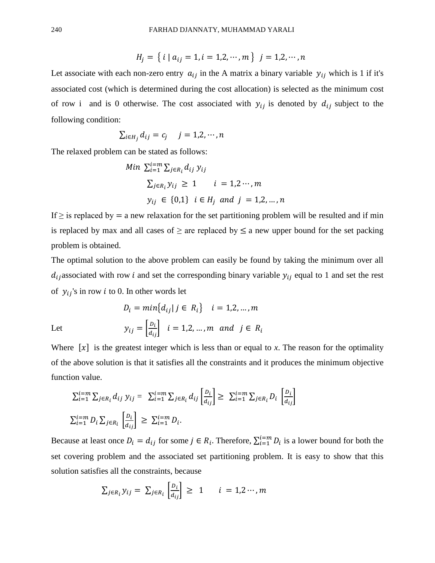$$
H_j = \{ i \mid a_{ij} = 1, i = 1, 2, \cdots, m \} \quad j = 1, 2, \cdots, n
$$

Let associate with each non-zero entry  $a_{ij}$  in the A matrix a binary variable  $y_{ij}$  which is 1 if it's associated cost (which is determined during the cost allocation) is selected as the minimum cost of row i and is 0 otherwise. The cost associated with  $y_{ij}$  is denoted by  $d_{ij}$  subject to the following condition:

$$
\sum_{i\in H_j}d_{ij}=c_j\quad j=1,2,\cdots,n
$$

The relaxed problem can be stated as follows:

Min 
$$
\sum_{i=1}^{i=m} \sum_{j \in R_i} d_{ij} y_{ij}
$$
  
\n $\sum_{j \in R_i} y_{ij} \ge 1$   $i = 1, 2 \cdots, m$   
\n $y_{ij} \in \{0,1\}$   $i \in H_j$  and  $j = 1, 2, \ldots, n$ 

If  $\geq$  is replaced by  $=$  a new relaxation for the set partitioning problem will be resulted and if min is replaced by max and all cases of  $\geq$  are replaced by  $\leq$  a new upper bound for the set packing problem is obtained.

The optimal solution to the above problem can easily be found by taking the minimum over all  $d_{ij}$  associated with row *i* and set the corresponding binary variable  $y_{ij}$  equal to 1 and set the rest of  $y_{ij}$ 's in row *i* to 0. In other words let

$$
D_i = min\{d_{ij} | j \in R_i\} \quad i = 1, 2, ..., m
$$
  
Let 
$$
y_{ij} = \begin{bmatrix} \frac{D_i}{d_{ij}} \end{bmatrix} \quad i = 1, 2, ..., m \quad and \quad j \in R_i
$$

Where  $[x]$  is the greatest integer which is less than or equal to *x*. The reason for the optimality of the above solution is that it satisfies all the constraints and it produces the minimum objective function value.

$$
\sum_{i=1}^{i=m} \sum_{j \in R_i} d_{ij} y_{ij} = \sum_{i=1}^{i=m} \sum_{j \in R_i} d_{ij} \left[ \frac{b_i}{d_{ij}} \right] \ge \sum_{i=1}^{i=m} \sum_{j \in R_i} D_i \left[ \frac{b_i}{d_{ij}} \right]
$$
  

$$
\sum_{i=1}^{i=m} D_i \sum_{j \in R_i} \left[ \frac{b_i}{d_{ij}} \right] \ge \sum_{i=1}^{i=m} D_i.
$$

Because at least once  $D_i = d_{ij}$  for some  $j \in R_i$ . Therefore,  $\sum_{i=1}^{i=m} D_i$  is a lower bound for both the set covering problem and the associated set partitioning problem. It is easy to show that this solution satisfies all the constraints, because

$$
\sum_{j \in R_i} y_{ij} = \sum_{j \in R_i} \left[ \frac{b_i}{a_{ij}} \right] \geq 1 \qquad i = 1, 2 \cdots, m
$$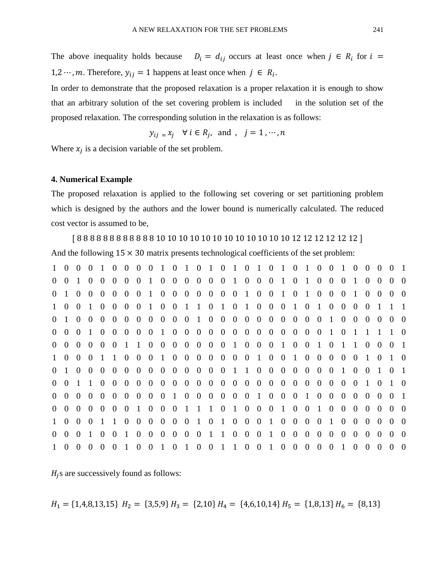The above inequality holds because  $D_i = d_{ij}$  occurs at least once when  $j \in R_i$  for  $i =$ 1,2 …, *m*. Therefore,  $y_{ij} = 1$  happens at least once when  $j \in R_i$ .

In order to demonstrate that the proposed relaxation is a proper relaxation it is enough to show that an arbitrary solution of the set covering problem is included in the solution set of the proposed relaxation. The corresponding solution in the relaxation is as follows:

 $y_{ij} = x_j \quad \forall i \in R_j$ , and,  $j = 1, \dots, n$ 

Where  $x_j$  is a decision variable of the set problem.

## **4. Numerical Example**

The proposed relaxation is applied to the following set covering or set partitioning problem which is designed by the authors and the lower bound is numerically calculated. The reduced cost vector is assumed to be,

[ 8 8 8 8 8 8 8 8 8 8 8 8 10 10 10 10 10 10 10 10 10 10 10 10 12 12 12 12 12 12 ] And the following  $15 \times 30$  matrix presents technological coefficients of the set problem:

| $0 \quad 0$    |                             | $1\quad 0$    | $\overline{0}$                        | $\overline{0}$ |                 | $0 \quad 0 \quad 1$                                         |                | 0 0 0 0 0 0 1 0 0 0 1 0 1 0 0 0 1     |                          |  |                |                |                     |                               |                             |                |                | $\overline{0}$ | $\overline{0}$           | $0\quad 0$          |  |
|----------------|-----------------------------|---------------|---------------------------------------|----------------|-----------------|-------------------------------------------------------------|----------------|---------------------------------------|--------------------------|--|----------------|----------------|---------------------|-------------------------------|-----------------------------|----------------|----------------|----------------|--------------------------|---------------------|--|
| 0 <sub>1</sub> | $0\quad 0$                  |               | $\overline{0}$                        | $\overline{0}$ | $\overline{0}$  | $\overline{0}$                                              | $\overline{1}$ | $0 \quad 0$                           | $0\quad 0\quad 0\quad 0$ |  |                | 0 <sub>1</sub> | $0 \quad 0 \quad 1$ |                               | $0 \quad 1 \quad 0 \quad 0$ | 0 <sub>1</sub> |                | $\overline{0}$ | $\overline{0}$           | $0\quad 0$          |  |
|                |                             |               |                                       |                |                 | 1 0 0 1 0 0 0 0 1 0 0 1 1 0 1 0 1 0 0 0 1 0 1 0 0 0 0 1 1 1 |                |                                       |                          |  |                |                |                     |                               |                             |                |                |                |                          |                     |  |
|                | $0 \quad 1 \quad 0 \quad 0$ |               |                                       | $0\quad 0$     | $\overline{0}$  | $0\quad 0$                                                  |                | $0\quad 0$                            |                          |  |                |                |                     | 0 1 0 0 0 0 0 0 0 0 0 0 1 0 0 |                             |                |                | $\overline{0}$ | $\overline{0}$           | $0\quad 0$          |  |
|                |                             |               |                                       |                |                 |                                                             |                |                                       |                          |  |                |                |                     |                               |                             |                |                |                |                          |                     |  |
| $0 \quad 0$    | $0\quad 0$                  |               | $\overline{0}$                        | $\overline{0}$ | $\vert 1 \vert$ |                                                             | $1 \quad 0$    | $0 \t0 \t0 \t0 \t0 \t0 \t1$           |                          |  |                |                |                     | 0 0 0 1 0 0 1 0               |                             | 1 1            |                | $\theta$       | $\Omega$                 | 0 <sub>1</sub>      |  |
|                | $1\quad 0\quad 0\quad 0$    |               | $\begin{bmatrix} 1 & 1 \end{bmatrix}$ |                | $\overline{0}$  |                                                             |                | 0 0 1 0 0 0 0 0 0 0 1 0 0 1 0 0 0 0 0 |                          |  |                |                |                     |                               |                             |                |                |                | 1 0 1 0                  |                     |  |
| $0\quad1$      | $0 \quad 0$                 |               | $\overline{0}$                        | $\theta$       | $\overline{0}$  | 0 0 0 0 0 0 0 0 1 1 0 0 0 0 0 0 0 1                         |                |                                       |                          |  |                |                |                     |                               |                             |                | $\overline{0}$ | $\overline{0}$ |                          | 0 <sub>1</sub>      |  |
|                | $0 \t 0 \t 1 \t 1$          |               |                                       | $0 \quad 0$    |                 | 0 0 0 0 0 0 0 0 0 0 0 0 0 0 0 0 0 0 0 1                     |                |                                       |                          |  |                |                |                     |                               |                             |                |                |                |                          | $0 \quad 1 \quad 0$ |  |
| $0 \quad 0$    | $0\quad 0$                  |               |                                       | $0 \quad 0$    |                 |                                                             |                |                                       |                          |  |                |                |                     |                               |                             |                |                | $\overline{0}$ | $\overline{0}$           | 0 <sub>1</sub>      |  |
|                | $0\quad 0\quad 0\quad 0$    |               | $0\quad 0$                            |                |                 | $0 \quad 1 \quad 0 \quad 0 \quad 0$                         |                |                                       |                          |  |                |                |                     | 1 1 1 0 1 0 0 0 1 0 0 1 0     |                             | $0\quad 0$     |                |                | $0\quad 0\quad 0\quad 0$ |                     |  |
|                | $1\quad 0\quad 0\quad 0$    |               | 1 1                                   |                |                 | 0 0 0 0 0 0 1 0 1 0 0 0 1 0 0 0 0 1 0 0 0 0 0 0 0           |                |                                       |                          |  |                |                |                     |                               |                             |                |                |                |                          |                     |  |
| $0 \quad 0$    | 0 <sub>1</sub>              |               | $\overline{0}$                        | $\theta$       | $\mathbf{1}$    |                                                             | $0 \quad 0$    | $0\quad 0$                            | $0 \t 0 \t 1 \t 1$       |  | $\overline{0}$ | $\overline{0}$ | $0 \quad 1 \quad 0$ |                               | $0\quad 0\quad 0\quad 0$    | $0\quad 0$     |                | $\overline{0}$ | $\overline{0}$           | $0\quad 0$          |  |
|                |                             | 1 0 0 0 0 0 1 |                                       |                |                 |                                                             |                | 0 0 1 0 1 0 0 1 1 0 0 1 0 0 0 0 0 1   |                          |  |                |                |                     |                               |                             |                |                |                | $0 \t0 \t0 \t0 \t0$      |                     |  |

 $H<sub>j</sub>$ s are successively found as follows:

 $H_1 = \{1,4,8,13,15\}$   $H_2 = \{3,5,9\}$   $H_3 = \{2,10\}$   $H_4 = \{4,6,10,14\}$   $H_5 = \{1,8,13\}$   $H_6 = \{8,13\}$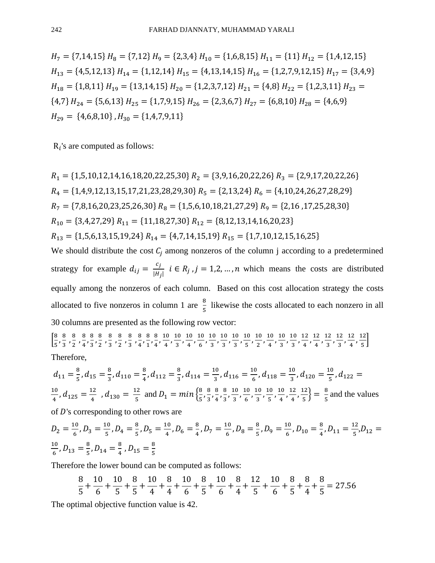$H_7 = \{7, 14, 15\}$   $H_8 = \{7, 12\}$   $H_9 = \{2, 3, 4\}$   $H_{10} = \{1, 6, 8, 15\}$   $H_{11} = \{11\}$   $H_{12} = \{1, 4, 12, 15\}$  $H_{13} = \{4,5,12,13\}$   $H_{14} = \{1,12,14\}$   $H_{15} = \{4,13,14,15\}$   $H_{16} = \{1,2,7,9,12,15\}$   $H_{17} = \{3,4,9\}$  $H_{18} = \{1,8,11\}$   $H_{19} = \{13,14,15\}$   $H_{20} = \{1,2,3,7,12\}$   $H_{21} = \{4,8\}$   $H_{22} = \{1,2,3,11\}$   $H_{23} =$  ${4,7}$   $H_{24} = {5,6,13}$   $H_{25} = {1,7,9,15}$   $H_{26} = {2,3,6,7}$   $H_{27} = {6,8,10}$   $H_{28} = {4,6,9}$  $H_{29} = \{4,6,8,10\}$ ,  $H_{30} = \{1,4,7,9,11\}$ 

 $R_i$ 's are computed as follows:

 $R_1 = \{1,5,10,12,14,16,18,20,22,25,30\}$   $R_2 = \{3,9,16,20,22,26\}$   $R_3 = \{2,9,17,20,22,26\}$  $R_4 = \{1,4,9,12,13,15,17,21,23,28,29,30\}$   $R_5 = \{2,13,24\}$   $R_6 = \{4,10,24,26,27,28,29\}$  $R_7 = \{7,8,16,20,23,25,26,30\}$   $R_8 = \{1,5,6,10,18,21,27,29\}$   $R_9 = \{2,16,17,25,28,30\}$  $R_{10} = \{3,4,27,29\} R_{11} = \{11,18,27,30\} R_{12} = \{8,12,13,14,16,20,23\}$  $R_{13} = \{1,5,6,13,15,19,24\} R_{14} = \{4,7,14,15,19\} R_{15} = \{1,7,10,12,15,16,25\}$ 

We should distribute the cost  $C_i$  among nonzeros of the column j according to a predetermined strategy for example  $d_{ij} = \frac{c_j}{|H|}$  $\frac{C_j}{|H_j|}$   $i \in R_j$ ,  $j = 1, 2, ..., n$  which means the costs are distributed equally among the nonzeros of each column. Based on this cost allocation strategy the costs allocated to five nonzeros in column 1 are  $\frac{8}{5}$  $\frac{6}{5}$  likewise the costs allocated to each nonzero in all 30 columns are presented as the following row vector:

 $\left[\frac{8}{5}\right]$  $\frac{8}{5}, \frac{8}{3}$  $\frac{8}{3}, \frac{8}{2}$  $\frac{8}{2}$ ,  $\frac{8}{4}$  $\frac{8}{4}, \frac{8}{3}$  $\frac{8}{3}, \frac{8}{2}$  $\frac{8}{2}$ ,  $\frac{8}{3}$  $\frac{8}{3}, \frac{8}{2}$  $\frac{8}{2}$ ,  $\frac{8}{3}$  $\frac{8}{3}, \frac{8}{4}$  $\frac{8}{4}, \frac{8}{1}$  $\frac{8}{1}, \frac{8}{4}$  $\frac{8}{4}, \frac{10}{4}$  $\frac{10}{4}$ ,  $\frac{10}{3}$  $\frac{10}{3}, \frac{10}{4}$  $\frac{10}{4}, \frac{10}{6}$  $\frac{10}{6}, \frac{10}{3}$  $\frac{10}{3}, \frac{10}{3}$  $\frac{10}{3}, \frac{10}{3}$  $\frac{10}{3}, \frac{10}{5}$  $\frac{10}{5}, \frac{10}{2}$  $\frac{10}{2}$ ,  $\frac{10}{4}$  $\frac{10}{4}$ ,  $\frac{10}{3}$  $\frac{10}{3}, \frac{10}{3}$  $\frac{10}{3}, \frac{12}{4}$  $\frac{12}{4}$ ,  $\frac{12}{4}$  $\frac{12}{4}, \frac{12}{3}$  $\frac{12}{3}, \frac{12}{3}$  $\frac{12}{3}, \frac{12}{4}$  $\frac{12}{4}$ ,  $\frac{12}{5}$  $\frac{12}{5}$ Therefore,

 $d_{11} = \frac{8}{5}$  $\frac{8}{5}$ ,  $d_{15} = \frac{8}{3}$  $\frac{8}{3}$ ,  $d_{110} = \frac{8}{4}$  $\frac{8}{4}$ ,  $d_{112} = \frac{8}{3}$  $\frac{8}{3}$ ,  $d_{114} = \frac{10}{3}$  $\frac{10}{3}$ ,  $d_{116} = \frac{10}{6}$  $\frac{10}{6}$ ,  $d_{118} = \frac{10}{3}$  $\frac{10}{3}$ ,  $d_{120} = \frac{10}{5}$  $\frac{16}{5}$ ,  $d_{122} =$ 10  $\frac{10}{4}$ ,  $d_{125} = \frac{12}{4}$  $\frac{12}{4}$ ,  $d_{130} = \frac{12}{5}$  $\frac{12}{5}$  and  $D_1 = min\left\{\frac{8}{5}\right\}$  $\frac{8}{5}, \frac{8}{3}$  $\frac{8}{3}, \frac{8}{4}$  $\frac{8}{4}$ ,  $\frac{8}{3}$  $\frac{8}{3}, \frac{10}{3}$  $\frac{10}{3}, \frac{10}{6}$  $\frac{10}{6}, \frac{10}{3}$  $\frac{10}{3}, \frac{10}{5}$  $\frac{10}{5}, \frac{10}{4}$  $\frac{10}{4}$ ,  $\frac{12}{4}$  $\frac{12}{4}, \frac{12}{5}$  $\left(\frac{12}{5}\right) = \frac{8}{5}$  $\frac{6}{5}$  and the values

of  $D$ 's corresponding to other rows are

$$
D_2 = \frac{10}{6}, D_3 = \frac{10}{5}, D_4 = \frac{8}{5}, D_5 = \frac{10}{4}, D_6 = \frac{8}{4}, D_7 = \frac{10}{6}, D_8 = \frac{8}{5}, D_9 = \frac{10}{6}, D_{10} = \frac{8}{4}, D_{11} = \frac{12}{5}, D_{12} = \frac{10}{6}, D_{13} = \frac{8}{5}, D_{14} = \frac{8}{4}, D_{15} = \frac{8}{5}
$$

Therefore the lower bound can be computed as follows:

$$
\frac{8}{5} + \frac{10}{6} + \frac{10}{5} + \frac{8}{5} + \frac{10}{4} + \frac{8}{4} + \frac{10}{6} + \frac{8}{5} + \frac{10}{6} + \frac{8}{4} + \frac{12}{5} + \frac{10}{6} + \frac{8}{5} + \frac{8}{4} + \frac{8}{5} = 27.56
$$

The optimal objective function value is 42.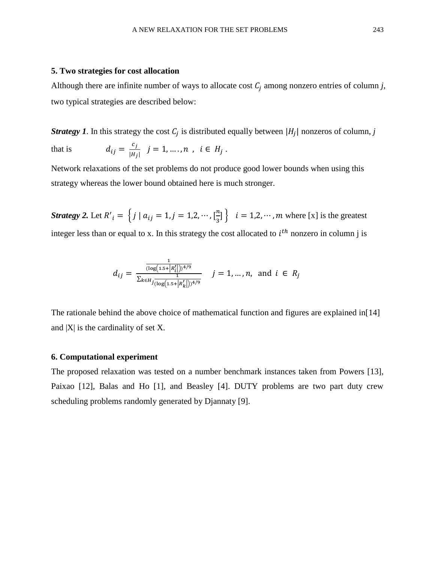#### **5. Two strategies for cost allocation**

Although there are infinite number of ways to allocate cost  $C_i$  among nonzero entries of column *j*, two typical strategies are described below:

*Strategy 1*. In this strategy the cost  $C_j$  is distributed equally between  $|H_j|$  nonzeros of column, *j* that is  $d_{ij} = \frac{c_j}{|H|}$  $\frac{c_j}{|H_j|}$  j = 1, ... , n, i  $\in H_j$ .

Network relaxations of the set problems do not produce good lower bounds when using this strategy whereas the lower bound obtained here is much stronger.

*Strategy 2.* Let  $R'_i = \left\{ j \mid a_{ij} = 1, j = 1, 2, \dots, \left[ \frac{n}{3} \right] \right\}$  $\left\{\frac{n}{3}\right\}$   $i = 1, 2, \cdots, m$  where [x] is the greatest integer less than or equal to x. In this strategy the cost allocated to  $i^{th}$  nonzero in column j is

$$
d_{ij} = \frac{\frac{1}{(\log(1.5 + |R'_i|))^{4/9}}}{\sum_{k \in H} \frac{1}{(\log(1.5 + |R'_k|))^{4/9}}}, \quad j = 1, ..., n, \text{ and } i \in R_j
$$

The rationale behind the above choice of mathematical function and figures are explained in[14] and  $|X|$  is the cardinality of set X.

### **6. Computational experiment**

The proposed relaxation was tested on a number benchmark instances taken from Powers [13], Paixao [12], Balas and Ho [1], and Beasley [4]. DUTY problems are two part duty crew scheduling problems randomly generated by Djannaty [9].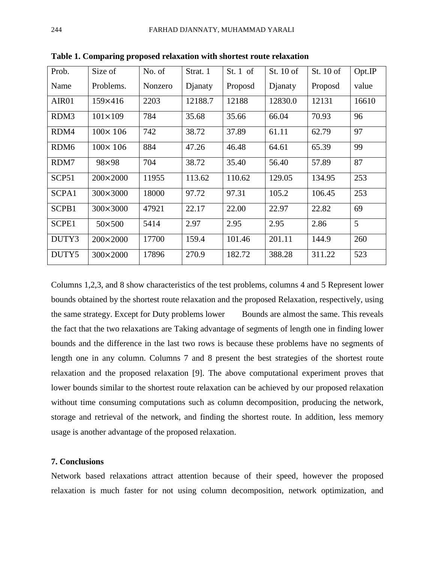| Prob.             | Size of          | No. of  | Strat. 1 | St. 1 of | St. 10 of | St. 10 of | Opt.IP |  |
|-------------------|------------------|---------|----------|----------|-----------|-----------|--------|--|
| Name              | Problems.        | Nonzero | Djanaty  | Proposd  | Djanaty   | Proposd   | value  |  |
| AIR <sub>01</sub> | $159\times 416$  | 2203    | 12188.7  | 12188    | 12830.0   | 12131     | 16610  |  |
| RDM3              | $101\times109$   | 784     | 35.68    | 35.66    | 66.04     | 70.93     | 96     |  |
| RDM4              | $100 \times 106$ | 742     | 38.72    | 37.89    | 61.11     | 62.79     | 97     |  |
| RDM <sub>6</sub>  | $100 \times 106$ | 884     | 47.26    | 46.48    | 64.61     | 65.39     | 99     |  |
| RDM7              | 98×98            | 704     | 38.72    | 35.40    | 56.40     | 57.89     | 87     |  |
| SCP <sub>51</sub> | $200\times2000$  | 11955   | 113.62   | 110.62   | 129.05    | 134.95    | 253    |  |
| SCPA1             | 300×3000         | 18000   | 97.72    | 97.31    | 105.2     | 106.45    | 253    |  |
| SCPB1             | 300×3000         | 47921   | 22.17    | 22.00    | 22.97     | 22.82     | 69     |  |
| SCPE1             | $50\times 500$   | 5414    | 2.97     | 2.95     | 2.95      | 2.86      | 5      |  |
| DUTY3             | 200×2000         | 17700   | 159.4    | 101.46   | 201.11    | 144.9     | 260    |  |
| DUTY5             | 300×2000         | 17896   | 270.9    | 182.72   | 388.28    | 311.22    | 523    |  |

**Table 1. Comparing proposed relaxation with shortest route relaxation**

Columns 1,2,3, and 8 show characteristics of the test problems, columns 4 and 5 Represent lower bounds obtained by the shortest route relaxation and the proposed Relaxation, respectively, using the same strategy. Except for Duty problems lower Bounds are almost the same. This reveals the fact that the two relaxations are Taking advantage of segments of length one in finding lower bounds and the difference in the last two rows is because these problems have no segments of length one in any column. Columns 7 and 8 present the best strategies of the shortest route relaxation and the proposed relaxation [9]. The above computational experiment proves that lower bounds similar to the shortest route relaxation can be achieved by our proposed relaxation without time consuming computations such as column decomposition, producing the network, storage and retrieval of the network, and finding the shortest route. In addition, less memory usage is another advantage of the proposed relaxation.

### **7. Conclusions**

Network based relaxations attract attention because of their speed, however the proposed relaxation is much faster for not using column decomposition, network optimization, and